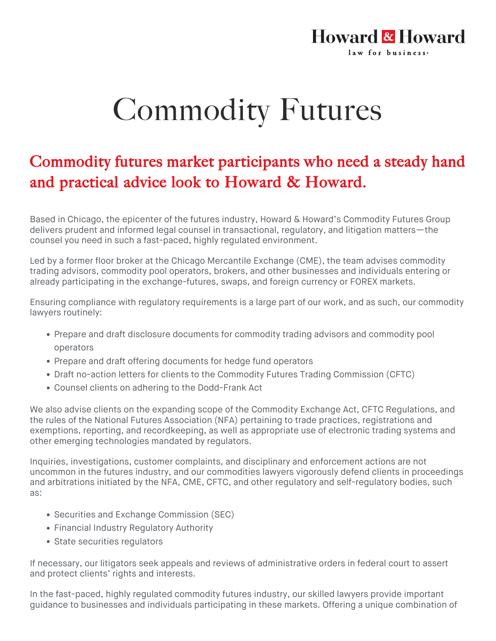## Commodity Futures

**Howard & Howard** 

law for business-

## Commodity futures market participants who need a steady hand and practical advice look to Howard & Howard.

Based in Chicago, the epicenter of the futures industry, Howard & Howard's Commodity Futures Group delivers prudent and informed legal counsel in transactional, regulatory, and litigation matters—the counsel you need in such a fast-paced, highly regulated environment.

Led by a former floor broker at the Chicago Mercantile Exchange (CME), the team advises commodity trading advisors, commodity pool operators, brokers, and other businesses and individuals entering or already participating in the exchange-futures, swaps, and foreign currency or FOREX markets.

Ensuring compliance with regulatory requirements is a large part of our work, and as such, our commodity lawyers routinely:

- Prepare and draft disclosure documents for commodity trading advisors and commodity pool operators
- Prepare and draft offering documents for hedge fund operators
- Draft no-action letters for clients to the Commodity Futures Trading Commission (CFTC)
- Counsel clients on adhering to the Dodd-Frank Act

We also advise clients on the expanding scope of the Commodity Exchange Act, CFTC Regulations, and the rules of the National Futures Association (NFA) pertaining to trade practices, registrations and exemptions, reporting, and recordkeeping, as well as appropriate use of electronic trading systems and other emerging technologies mandated by regulators.

Inquiries, investigations, customer complaints, and disciplinary and enforcement actions are not uncommon in the futures industry, and our commodities lawyers vigorously defend clients in proceedings and arbitrations initiated by the NFA, CME, CFTC, and other regulatory and self-regulatory bodies, such as:

- Securities and Exchange Commission (SEC)
- Financial Industry Regulatory Authority
- State securities regulators

If necessary, our litigators seek appeals and reviews of administrative orders in federal court to assert and protect clients' rights and interests.

In the fast-paced, highly regulated commodity futures industry, our skilled lawyers provide important guidance to businesses and individuals participating in these markets. Offering a unique combination of